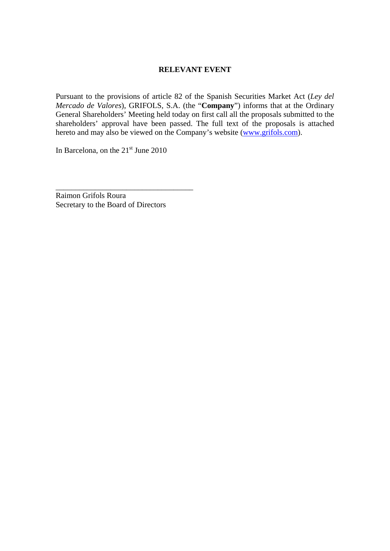# **RELEVANT EVENT**

Pursuant to the provisions of article 82 of the Spanish Securities Market Act (*Ley del Mercado de Valores*), GRIFOLS, S.A. (the "**Company**") informs that at the Ordinary General Shareholders' Meeting held today on first call all the proposals submitted to the shareholders' approval have been passed. The full text of the proposals is attached hereto and may also be viewed on the Company's website (www.grifols.com).

In Barcelona, on the  $21<sup>st</sup>$  June 2010

Raimon Grifols Roura Secretary to the Board of Directors

\_\_\_\_\_\_\_\_\_\_\_\_\_\_\_\_\_\_\_\_\_\_\_\_\_\_\_\_\_\_\_\_\_\_\_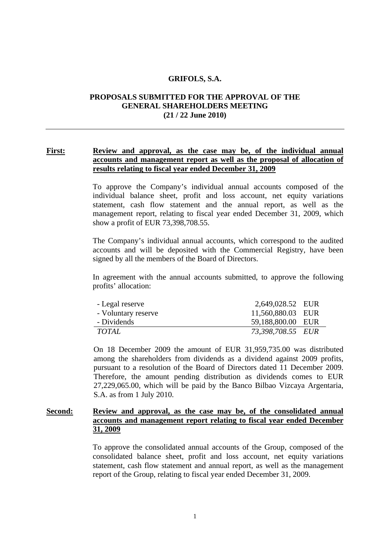#### **GRIFOLS, S.A.**

## **PROPOSALS SUBMITTED FOR THE APPROVAL OF THE GENERAL SHAREHOLDERS MEETING (21 / 22 June 2010)**

## **First: Review and approval, as the case may be, of the individual annual accounts and management report as well as the proposal of allocation of results relating to fiscal year ended December 31, 2009**

To approve the Company's individual annual accounts composed of the individual balance sheet, profit and loss account, net equity variations statement, cash flow statement and the annual report, as well as the management report, relating to fiscal year ended December 31, 2009, which show a profit of EUR 73,398,708.55.

The Company's individual annual accounts, which correspond to the audited accounts and will be deposited with the Commercial Registry, have been signed by all the members of the Board of Directors.

In agreement with the annual accounts submitted, to approve the following profits' allocation:

| - Legal reserve     | 2,649,028.52 EUR  |  |
|---------------------|-------------------|--|
| - Voluntary reserve | 11,560,880.03 EUR |  |
| - Dividends         | 59,188,800.00 EUR |  |
| <i>TOTAL</i>        | 73,398,708.55 EUR |  |

On 18 December 2009 the amount of EUR 31,959,735.00 was distributed among the shareholders from dividends as a dividend against 2009 profits, pursuant to a resolution of the Board of Directors dated 11 December 2009. Therefore, the amount pending distribution as dividends comes to EUR 27,229,065.00, which will be paid by the Banco Bilbao Vizcaya Argentaria, S.A. as from 1 July 2010.

### **Second: Review and approval, as the case may be, of the consolidated annual accounts and management report relating to fiscal year ended December 31, 2009**

To approve the consolidated annual accounts of the Group, composed of the consolidated balance sheet, profit and loss account, net equity variations statement, cash flow statement and annual report, as well as the management report of the Group, relating to fiscal year ended December 31, 2009.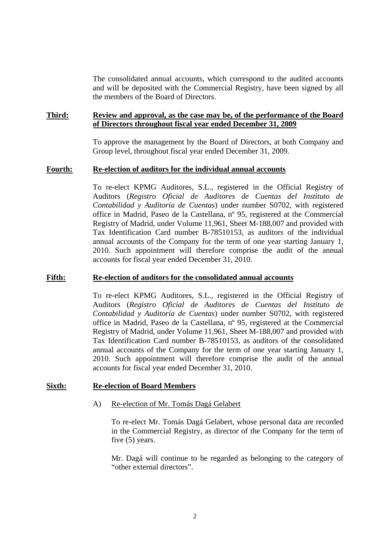The consolidated annual accounts, which correspond to the audited accounts and will be deposited with the Commercial Registry, have been signed by all the members of the Board of Directors.

### **Third: Review and approval, as the case may be, of the performance of the Board of Directors throughout fiscal year ended December 31, 2009**

To approve the management by the Board of Directors, at both Company and Group level, throughout fiscal year ended December 31, 2009.

#### **Fourth: Re-election of auditors for the individual annual accounts**

To re-elect KPMG Auditores, S.L., registered in the Official Registry of Auditors (*Registro Oficial de Auditores de Cuentas del Instituto de Contabilidad y Auditoría de Cuentas*) under number S0702, with registered office in Madrid, Paseo de la Castellana, nº 95, registered at the Commercial Registry of Madrid, under Volume 11,961, Sheet M-188,007 and provided with Tax Identification Card number B-78510153, as auditors of the individual annual accounts of the Company for the term of one year starting January 1, 2010. Such appointment will therefore comprise the audit of the annual accounts for fiscal year ended December 31, 2010.

#### **Fifth: Re-election of auditors for the consolidated annual accounts**

To re-elect KPMG Auditores, S.L., registered in the Official Registry of Auditors (*Registro Oficial de Auditores de Cuentas del Instituto de Contabilidad y Auditoría de Cuentas*) under number S0702, with registered office in Madrid, Paseo de la Castellana, nº 95, registered at the Commercial Registry of Madrid, under Volume 11,961, Sheet M-188,007 and provided with Tax Identification Card number B-78510153, as auditors of the consolidated annual accounts of the Company for the term of one year starting January 1, 2010. Such appointment will therefore comprise the audit of the annual accounts for fiscal year ended December 31, 2010.

#### **Sixth: Re-election of Board Members**

#### A) Re-election of Mr. Tomás Dagá Gelabert

To re-elect Mr. Tomás Dagá Gelabert, whose personal data are recorded in the Commercial Registry, as director of the Company for the term of five (5) years.

Mr. Dagá will continue to be regarded as belonging to the category of "other external directors".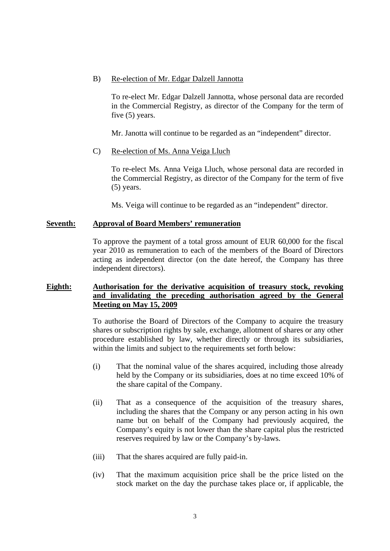### B) Re-election of Mr. Edgar Dalzell Jannotta

To re-elect Mr. Edgar Dalzell Jannotta, whose personal data are recorded in the Commercial Registry, as director of the Company for the term of five (5) years.

Mr. Janotta will continue to be regarded as an "independent" director.

## C) Re-election of Ms. Anna Veiga Lluch

To re-elect Ms. Anna Veiga Lluch, whose personal data are recorded in the Commercial Registry, as director of the Company for the term of five (5) years.

Ms. Veiga will continue to be regarded as an "independent" director.

### **Seventh: Approval of Board Members' remuneration**

To approve the payment of a total gross amount of EUR 60,000 for the fiscal year 2010 as remuneration to each of the members of the Board of Directors acting as independent director (on the date hereof, the Company has three independent directors).

## **Eighth: Authorisation for the derivative acquisition of treasury stock, revoking and invalidating the preceding authorisation agreed by the General Meeting on May 15, 2009**

To authorise the Board of Directors of the Company to acquire the treasury shares or subscription rights by sale, exchange, allotment of shares or any other procedure established by law, whether directly or through its subsidiaries, within the limits and subject to the requirements set forth below:

- (i) That the nominal value of the shares acquired, including those already held by the Company or its subsidiaries, does at no time exceed 10% of the share capital of the Company.
- (ii) That as a consequence of the acquisition of the treasury shares, including the shares that the Company or any person acting in his own name but on behalf of the Company had previously acquired, the Company's equity is not lower than the share capital plus the restricted reserves required by law or the Company's by-laws.
- (iii) That the shares acquired are fully paid-in.
- (iv) That the maximum acquisition price shall be the price listed on the stock market on the day the purchase takes place or, if applicable, the